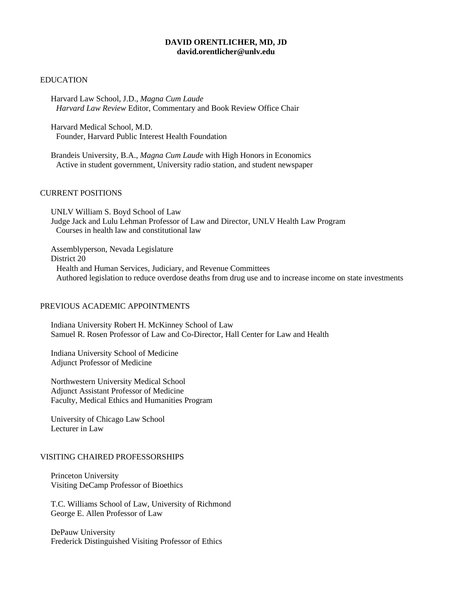## **DAVID ORENTLICHER, MD, JD david.orentlicher@unlv.edu**

#### EDUCATION

Harvard Law School, J.D., *Magna Cum Laude Harvard Law Review* Editor, Commentary and Book Review Office Chair

Harvard Medical School, M.D. Founder, Harvard Public Interest Health Foundation

Brandeis University, B.A., *Magna Cum Laude* with High Honors in Economics Active in student government, University radio station, and student newspaper

#### CURRENT POSITIONS

UNLV William S. Boyd School of Law Judge Jack and Lulu Lehman Professor of Law and Director, UNLV Health Law Program Courses in health law and constitutional law

Assemblyperson, Nevada Legislature District 20 Health and Human Services, Judiciary, and Revenue Committees Authored legislation to reduce overdose deaths from drug use and to increase income on state investments

### PREVIOUS ACADEMIC APPOINTMENTS

Indiana University Robert H. McKinney School of Law Samuel R. Rosen Professor of Law and Co-Director, Hall Center for Law and Health

Indiana University School of Medicine Adjunct Professor of Medicine

Northwestern University Medical School Adjunct Assistant Professor of Medicine Faculty, Medical Ethics and Humanities Program

University of Chicago Law School Lecturer in Law

#### VISITING CHAIRED PROFESSORSHIPS

Princeton University Visiting DeCamp Professor of Bioethics

T.C. Williams School of Law, University of Richmond George E. Allen Professor of Law

DePauw University Frederick Distinguished Visiting Professor of Ethics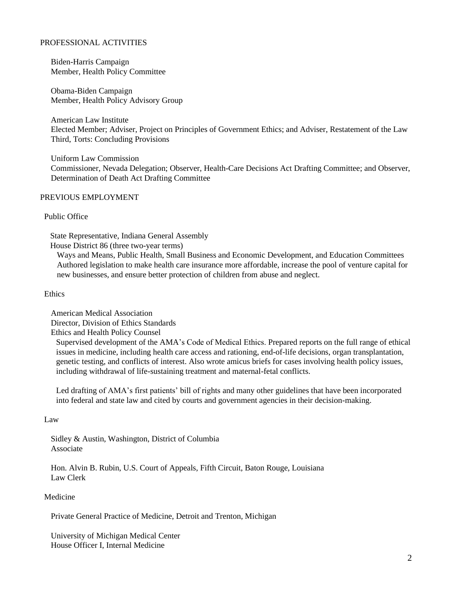# PROFESSIONAL ACTIVITIES

Biden-Harris Campaign Member, Health Policy Committee

Obama-Biden Campaign Member, Health Policy Advisory Group

American Law Institute Elected Member; Adviser, Project on Principles of Government Ethics; and Adviser, Restatement of the Law Third, Torts: Concluding Provisions

Uniform Law Commission Commissioner, Nevada Delegation; Observer, Health-Care Decisions Act Drafting Committee; and Observer, Determination of Death Act Drafting Committee

## PREVIOUS EMPLOYMENT

## Public Office

State Representative, Indiana General Assembly

House District 86 (three two-year terms)

Ways and Means, Public Health, Small Business and Economic Development, and Education Committees Authored legislation to make health care insurance more affordable, increase the pool of venture capital for new businesses, and ensure better protection of children from abuse and neglect.

#### Ethics

American Medical Association Director, Division of Ethics Standards

Ethics and Health Policy Counsel

Supervised development of the AMA's Code of Medical Ethics. Prepared reports on the full range of ethical issues in medicine, including health care access and rationing, end-of-life decisions, organ transplantation, genetic testing, and conflicts of interest. Also wrote amicus briefs for cases involving health policy issues, including withdrawal of life-sustaining treatment and maternal-fetal conflicts.

Led drafting of AMA's first patients' bill of rights and many other guidelines that have been incorporated into federal and state law and cited by courts and government agencies in their decision-making.

#### Law

Sidley & Austin, Washington, District of Columbia Associate

Hon. Alvin B. Rubin, U.S. Court of Appeals, Fifth Circuit, Baton Rouge, Louisiana Law Clerk

#### Medicine

Private General Practice of Medicine, Detroit and Trenton, Michigan

University of Michigan Medical Center House Officer I, Internal Medicine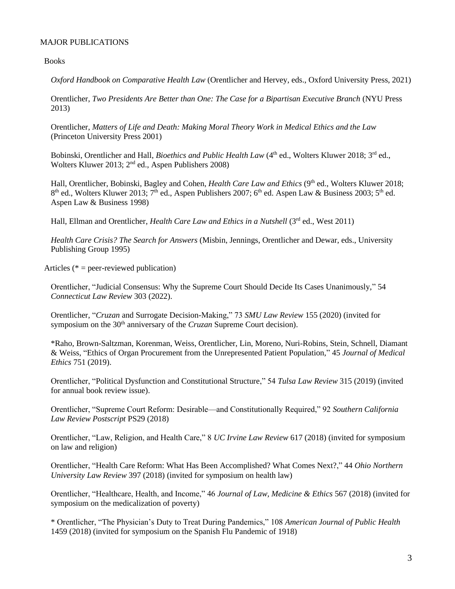# MAJOR PUBLICATIONS

Books

*Oxford Handbook on Comparative Health Law* (Orentlicher and Hervey, eds., Oxford University Press, 2021)

Orentlicher, *Two Presidents Are Better than One: The Case for a Bipartisan Executive Branch* (NYU Press 2013)

Orentlicher, *Matters of Life and Death: Making Moral Theory Work in Medical Ethics and the Law* (Princeton University Press 2001)

Bobinski, Orentlicher and Hall, *Bioethics and Public Health Law* (4<sup>th</sup> ed., Wolters Kluwer 2018; 3<sup>rd</sup> ed., Wolters Kluwer 2013; 2<sup>nd</sup> ed., Aspen Publishers 2008)

Hall, Orentlicher, Bobinski, Bagley and Cohen, *Health Care Law and Ethics* (9<sup>th</sup> ed., Wolters Kluwer 2018; 8<sup>th</sup> ed., Wolters Kluwer 2013; 7<sup>th</sup> ed., Aspen Publishers 2007; 6<sup>th</sup> ed. Aspen Law & Business 2003; 5<sup>th</sup> ed. Aspen Law & Business 1998)

Hall, Ellman and Orentlicher, *Health Care Law and Ethics in a Nutshell* (3<sup>rd</sup> ed., West 2011)

*Health Care Crisis? The Search for Answers* (Misbin, Jennings, Orentlicher and Dewar, eds., University Publishing Group 1995)

Articles ( $* = peer$ -reviewed publication)

Orentlicher, "Judicial Consensus: Why the Supreme Court Should Decide Its Cases Unanimously," 54 *Connecticut Law Review* 303 (2022).

Orentlicher, "*Cruzan* and Surrogate Decision-Making," 73 *SMU Law Review* 155 (2020) (invited for symposium on the 30<sup>th</sup> anniversary of the *Cruzan* Supreme Court decision).

\*Raho, Brown-Saltzman, Korenman, Weiss, Orentlicher, Lin, Moreno, Nuri-Robins, Stein, Schnell, Diamant & Weiss, "Ethics of Organ Procurement from the Unrepresented Patient Population," 45 *Journal of Medical Ethics* 751 (2019).

Orentlicher, "Political Dysfunction and Constitutional Structure," 54 *Tulsa Law Review* 315 (2019) (invited for annual book review issue).

Orentlicher, "Supreme Court Reform: Desirable—and Constitutionally Required," 92 *Southern California Law Review Postscript* PS29 (2018)

Orentlicher, "Law, Religion, and Health Care," 8 *UC Irvine Law Review* 617 (2018) (invited for symposium on law and religion)

Orentlicher, "Health Care Reform: What Has Been Accomplished? What Comes Next?," 44 *Ohio Northern University Law Review* 397 (2018) (invited for symposium on health law)

Orentlicher, "Healthcare, Health, and Income," 46 *Journal of Law, Medicine & Ethics* 567 (2018) (invited for symposium on the medicalization of poverty)

\* Orentlicher, "The Physician's Duty to Treat During Pandemics," 108 *American Journal of Public Health* 1459 (2018) (invited for symposium on the Spanish Flu Pandemic of 1918)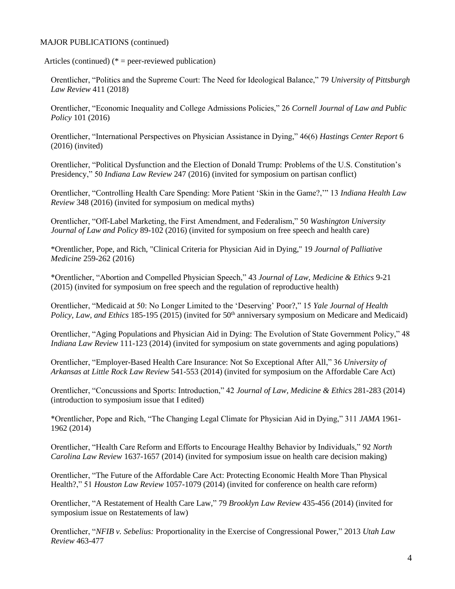Articles (continued)  $(*)$  = peer-reviewed publication)

Orentlicher, "Politics and the Supreme Court: The Need for Ideological Balance," 79 *University of Pittsburgh Law Review* 411 (2018)

Orentlicher, "Economic Inequality and College Admissions Policies," 26 *Cornell Journal of Law and Public Policy* 101 (2016)

Orentlicher, "International Perspectives on Physician Assistance in Dying," 46(6) *Hastings Center Report* 6 (2016) (invited)

Orentlicher, "Political Dysfunction and the Election of Donald Trump: Problems of the U.S. Constitution's Presidency," 50 *Indiana Law Review* 247 (2016) (invited for symposium on partisan conflict)

Orentlicher, "Controlling Health Care Spending: More Patient 'Skin in the Game?,'" 13 *Indiana Health Law Review* 348 (2016) (invited for symposium on medical myths)

Orentlicher, "Off-Label Marketing, the First Amendment, and Federalism," 50 *Washington University Journal of Law and Policy* 89-102 (2016) (invited for symposium on free speech and health care)

\*Orentlicher, Pope, and Rich, "Clinical Criteria for Physician Aid in Dying," 19 *Journal of Palliative Medicine* 259-262 (2016)

\*Orentlicher, "Abortion and Compelled Physician Speech," 43 *Journal of Law, Medicine & Ethics* 9-21 (2015) (invited for symposium on free speech and the regulation of reproductive health)

Orentlicher, "Medicaid at 50: No Longer Limited to the 'Deserving' Poor?," 15 *Yale Journal of Health Policy, Law, and Ethics* 185-195 (2015) (invited for 50<sup>th</sup> anniversary symposium on Medicare and Medicaid)

Orentlicher, "Aging Populations and Physician Aid in Dying: The Evolution of State Government Policy," 48 *Indiana Law Review* 111-123 (2014) (invited for symposium on state governments and aging populations)

Orentlicher, "Employer-Based Health Care Insurance: Not So Exceptional After All," 36 *University of Arkansas at Little Rock Law Review* 541-553 (2014) (invited for symposium on the Affordable Care Act)

Orentlicher, "Concussions and Sports: Introduction," 42 *Journal of Law, Medicine & Ethics* 281-283 (2014) (introduction to symposium issue that I edited)

\*Orentlicher, Pope and Rich, "The Changing Legal Climate for Physician Aid in Dying," 311 *JAMA* 1961- 1962 (2014)

Orentlicher, "Health Care Reform and Efforts to Encourage Healthy Behavior by Individuals," 92 *North Carolina Law Review* 1637-1657 (2014) (invited for symposium issue on health care decision making)

Orentlicher, "The Future of the Affordable Care Act: Protecting Economic Health More Than Physical Health?," 51 *Houston Law Review* 1057-1079 (2014) (invited for conference on health care reform)

Orentlicher, "A Restatement of Health Care Law," 79 *Brooklyn Law Review* 435-456 (2014) (invited for symposium issue on Restatements of law)

Orentlicher, "*NFIB v. Sebelius:* Proportionality in the Exercise of Congressional Power," 2013 *Utah Law Review* 463-477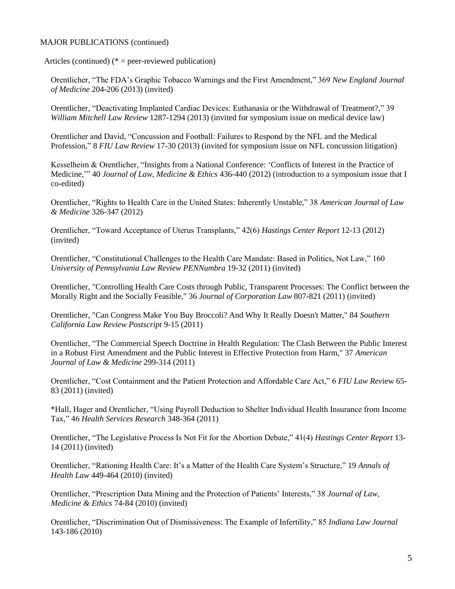Articles (continued)  $(*)$  = peer-reviewed publication)

Orentlicher, "The FDA's Graphic Tobacco Warnings and the First Amendment," 369 *New England Journal of Medicine* 204-206 (2013) (invited)

Orentlicher, "Deactivating Implanted Cardiac Devices: Euthanasia or the Withdrawal of Treatment?," 39 *William Mitchell Law Review* 1287-1294 (2013) (invited for symposium issue on medical device law)

Orentlicher and David, "Concussion and Football: Failures to Respond by the NFL and the Medical Profession," 8 *FIU Law Review* 17-30 (2013) (invited for symposium issue on NFL concussion litigation)

Kesselheim & Orentlicher, "Insights from a National Conference: 'Conflicts of Interest in the Practice of Medicine,'" 40 *Journal of Law, Medicine & Ethics* 436-440 (2012) (introduction to a symposium issue that I co-edited)

Orentlicher, "Rights to Health Care in the United States: Inherently Unstable," 38 *American Journal of Law & Medicine* 326-347 (2012)

Orentlicher, "Toward Acceptance of Uterus Transplants," 42(6) *Hastings Center Report* 12-13 (2012) (invited)

Orentlicher, "Constitutional Challenges to the Health Care Mandate: Based in Politics, Not Law," 160 *University of Pennsylvania Law Review PENNumbra* 19-32 (2011) (invited)

Orentlicher, "Controlling Health Care Costs through Public, Transparent Processes: The Conflict between the Morally Right and the Socially Feasible," 36 *Journal of Corporation Law* 807-821 (2011) (invited)

Orentlicher, "Can Congress Make You Buy Broccoli? And Why It Really Doesn't Matter," 84 *Southern California Law Review Postscript* 9-15 (2011)

Orentlicher, "The Commercial Speech Doctrine in Health Regulation: The Clash Between the Public Interest in a Robust First Amendment and the Public Interest in Effective Protection from Harm," 37 *American Journal of Law & Medicine* 299-314 (2011)

Orentlicher, "Cost Containment and the Patient Protection and Affordable Care Act," 6 *FIU Law Rev*iew 65- 83 (2011) (invited)

\*Hall, Hager and Orentlicher, "Using Payroll Deduction to Shelter Individual Health Insurance from Income Tax," 46 *Health Services Research* 348-364 (2011)

Orentlicher, "The Legislative Process Is Not Fit for the Abortion Debate," 41(4) *Hastings Center Report* 13- 14 (2011) (invited)

Orentlicher, "Rationing Health Care: It's a Matter of the Health Care System's Structure," 19 *Annals of Health Law* 449-464 (2010) (invited)

Orentlicher, "Prescription Data Mining and the Protection of Patients' Interests," 38 *Journal of Law, Medicine & Ethics* 74-84 (2010) (invited)

Orentlicher, "Discrimination Out of Dismissiveness: The Example of Infertility," 85 *Indiana Law Journal*  143-186 (2010)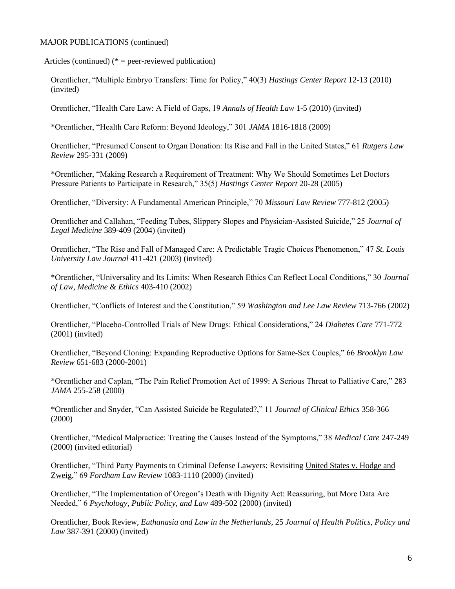Articles (continued)  $(*)$  = peer-reviewed publication)

Orentlicher, "Multiple Embryo Transfers: Time for Policy," 40(3) *Hastings Center Report* 12-13 (2010) (invited)

Orentlicher, "Health Care Law: A Field of Gaps, 19 *Annals of Health Law* 1-5 (2010) (invited)

\*Orentlicher, "Health Care Reform: Beyond Ideology," 301 *JAMA* 1816-1818 (2009)

Orentlicher, "Presumed Consent to Organ Donation: Its Rise and Fall in the United States," 61 *Rutgers Law Review* 295-331 (2009)

\*Orentlicher, "Making Research a Requirement of Treatment: Why We Should Sometimes Let Doctors Pressure Patients to Participate in Research," 35(5) *Hastings Center Report* 20-28 (2005)

Orentlicher, "Diversity: A Fundamental American Principle," 70 *Missouri Law Review* 777-812 (2005)

Orentlicher and Callahan, "Feeding Tubes, Slippery Slopes and Physician-Assisted Suicide," 25 *Journal of Legal Medicine* 389-409 (2004) (invited)

Orentlicher, "The Rise and Fall of Managed Care: A Predictable Tragic Choices Phenomenon," 47 *St. Louis University Law Journal* 411-421 (2003) (invited)

\*Orentlicher, "Universality and Its Limits: When Research Ethics Can Reflect Local Conditions," 30 *Journal of Law, Medicine & Ethics* 403-410 (2002)

Orentlicher, "Conflicts of Interest and the Constitution," 59 *Washington and Lee Law Review* 713-766 (2002)

Orentlicher, "Placebo-Controlled Trials of New Drugs: Ethical Considerations," 24 *Diabetes Care* 771-772 (2001) (invited)

Orentlicher, "Beyond Cloning: Expanding Reproductive Options for Same-Sex Couples," 66 *Brooklyn Law Review* 651-683 (2000-2001)

\*Orentlicher and Caplan, "The Pain Relief Promotion Act of 1999: A Serious Threat to Palliative Care," 283 *JAMA* 255-258 (2000)

\*Orentlicher and Snyder, "Can Assisted Suicide be Regulated?," 11 *Journal of Clinical Ethics* 358-366 (2000)

Orentlicher, "Medical Malpractice: Treating the Causes Instead of the Symptoms," 38 *Medical Care* 247-249 (2000) (invited editorial)

Orentlicher, "Third Party Payments to Criminal Defense Lawyers: Revisiting United States v. Hodge and Zweig," 69 *Fordham Law Review* 1083-1110 (2000) (invited)

Orentlicher, "The Implementation of Oregon's Death with Dignity Act: Reassuring, but More Data Are Needed," 6 *Psychology, Public Policy, and Law* 489-502 (2000) (invited)

Orentlicher, Book Review, *Euthanasia and Law in the Netherlands*, 25 *Journal of Health Politics, Policy and Law* 387-391 (2000) (invited)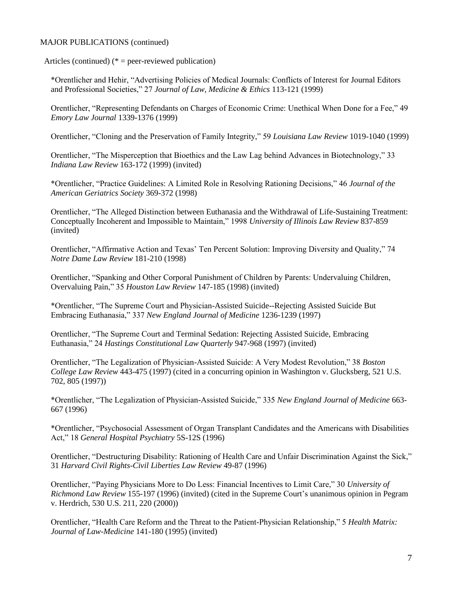Articles (continued)  $(*)$  = peer-reviewed publication)

\*Orentlicher and Hehir, "Advertising Policies of Medical Journals: Conflicts of Interest for Journal Editors and Professional Societies," 27 *Journal of Law, Medicine & Ethics* 113-121 (1999)

Orentlicher, "Representing Defendants on Charges of Economic Crime: Unethical When Done for a Fee," 49 *Emory Law Journal* 1339-1376 (1999)

Orentlicher, "Cloning and the Preservation of Family Integrity," 59 *Louisiana Law Review* 1019-1040 (1999)

Orentlicher, "The Misperception that Bioethics and the Law Lag behind Advances in Biotechnology," 33 *Indiana Law Review* 163-172 (1999) (invited)

\*Orentlicher, "Practice Guidelines: A Limited Role in Resolving Rationing Decisions," 46 *Journal of the American Geriatrics Society* 369-372 (1998)

Orentlicher, "The Alleged Distinction between Euthanasia and the Withdrawal of Life-Sustaining Treatment: Conceptually Incoherent and Impossible to Maintain," 1998 *University of Illinois Law Review* 837-859 (invited)

Orentlicher, "Affirmative Action and Texas' Ten Percent Solution: Improving Diversity and Quality," 74 *Notre Dame Law Review* 181-210 (1998)

Orentlicher, "Spanking and Other Corporal Punishment of Children by Parents: Undervaluing Children, Overvaluing Pain," 35 *Houston Law Review* 147-185 (1998) (invited)

\*Orentlicher, "The Supreme Court and Physician-Assisted Suicide--Rejecting Assisted Suicide But Embracing Euthanasia," 337 *New England Journal of Medicine* 1236-1239 (1997)

Orentlicher, "The Supreme Court and Terminal Sedation: Rejecting Assisted Suicide, Embracing Euthanasia," 24 *Hastings Constitutional Law Quarterly* 947-968 (1997) (invited)

Orentlicher, "The Legalization of Physician-Assisted Suicide: A Very Modest Revolution," 38 *Boston College Law Review* 443-475 (1997) (cited in a concurring opinion in Washington v. Glucksberg, 521 U.S. 702, 805 (1997))

\*Orentlicher, "The Legalization of Physician-Assisted Suicide," 335 *New England Journal of Medicine* 663- 667 (1996)

\*Orentlicher, "Psychosocial Assessment of Organ Transplant Candidates and the Americans with Disabilities Act," 18 *General Hospital Psychiatry* 5S-12S (1996)

Orentlicher, "Destructuring Disability: Rationing of Health Care and Unfair Discrimination Against the Sick," 31 *Harvard Civil Rights-Civil Liberties Law Review* 49-87 (1996)

Orentlicher, "Paying Physicians More to Do Less: Financial Incentives to Limit Care," 30 *University of Richmond Law Review* 155-197 (1996) (invited) (cited in the Supreme Court's unanimous opinion in Pegram v. Herdrich, 530 U.S. 211, 220 (2000))

Orentlicher, "Health Care Reform and the Threat to the Patient-Physician Relationship," 5 *Health Matrix: Journal of Law-Medicine* 141-180 (1995) (invited)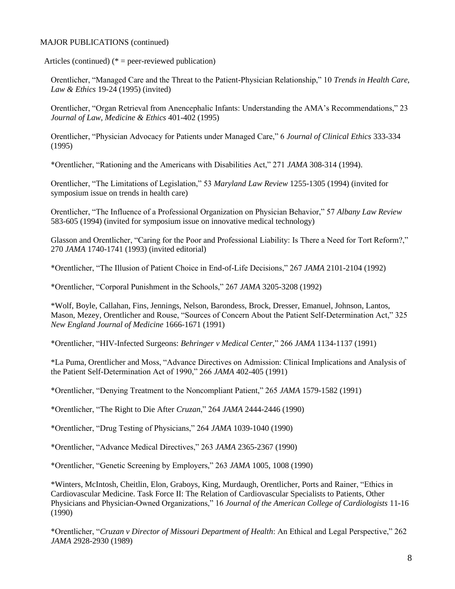Articles (continued)  $(*)$  = peer-reviewed publication)

Orentlicher, "Managed Care and the Threat to the Patient-Physician Relationship," 10 *Trends in Health Care, Law & Ethics* 19-24 (1995) (invited)

Orentlicher, "Organ Retrieval from Anencephalic Infants: Understanding the AMA's Recommendations," 23 *Journal of Law, Medicine & Ethics* 401-402 (1995)

Orentlicher, "Physician Advocacy for Patients under Managed Care," 6 *Journal of Clinical Ethics* 333-334 (1995)

\*Orentlicher, "Rationing and the Americans with Disabilities Act," 271 *JAMA* 308-314 (1994).

Orentlicher, "The Limitations of Legislation," 53 *Maryland Law Review* 1255-1305 (1994) (invited for symposium issue on trends in health care)

Orentlicher, "The Influence of a Professional Organization on Physician Behavior," 57 *Albany Law Review* 583-605 (1994) (invited for symposium issue on innovative medical technology)

Glasson and Orentlicher, "Caring for the Poor and Professional Liability: Is There a Need for Tort Reform?," 270 *JAMA* 1740-1741 (1993) (invited editorial)

\*Orentlicher, "The Illusion of Patient Choice in End-of-Life Decisions," 267 *JAMA* 2101-2104 (1992)

\*Orentlicher, "Corporal Punishment in the Schools," 267 *JAMA* 3205-3208 (1992)

\*Wolf, Boyle, Callahan, Fins, Jennings, Nelson, Barondess, Brock, Dresser, Emanuel, Johnson, Lantos, Mason, Mezey, Orentlicher and Rouse, "Sources of Concern About the Patient Self-Determination Act," 325 *New England Journal of Medicine* 1666-1671 (1991)

\*Orentlicher, "HIV-Infected Surgeons: *Behringer v Medical Center,*" 266 *JAMA* 1134-1137 (1991)

\*La Puma, Orentlicher and Moss, "Advance Directives on Admission: Clinical Implications and Analysis of the Patient Self-Determination Act of 1990," 266 *JAMA* 402-405 (1991)

\*Orentlicher, "Denying Treatment to the Noncompliant Patient," 265 *JAMA* 1579-1582 (1991)

\*Orentlicher, "The Right to Die After *Cruzan*," 264 *JAMA* 2444-2446 (1990)

\*Orentlicher, "Drug Testing of Physicians," 264 *JAMA* 1039-1040 (1990)

\*Orentlicher, "Advance Medical Directives," 263 *JAMA* 2365-2367 (1990)

\*Orentlicher, "Genetic Screening by Employers," 263 *JAMA* 1005, 1008 (1990)

\*Winters, McIntosh, Cheitlin, Elon, Graboys, King, Murdaugh, Orentlicher, Ports and Rainer, "Ethics in Cardiovascular Medicine. Task Force II: The Relation of Cardiovascular Specialists to Patients, Other Physicians and Physician-Owned Organizations," 16 *Journal of the American College of Cardiologists* 11-16 (1990)

\*Orentlicher, "*Cruzan v Director of Missouri Department of Health*: An Ethical and Legal Perspective," 262 *JAMA* 2928-2930 (1989)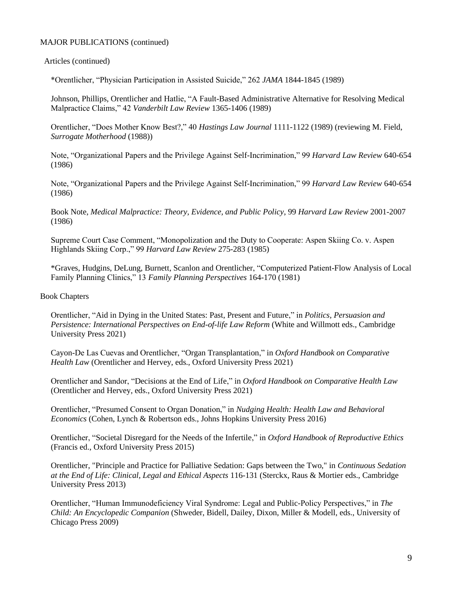## Articles (continued)

\*Orentlicher, "Physician Participation in Assisted Suicide," 262 *JAMA* 1844-1845 (1989)

Johnson, Phillips, Orentlicher and Hatlie, "A Fault-Based Administrative Alternative for Resolving Medical Malpractice Claims," 42 *Vanderbilt Law Review* 1365-1406 (1989)

Orentlicher, "Does Mother Know Best?," 40 *Hastings Law Journal* 1111-1122 (1989) (reviewing M. Field, *Surrogate Motherhood* (1988))

Note, "Organizational Papers and the Privilege Against Self-Incrimination," 99 *Harvard Law Review* 640-654 (1986)

Note, "Organizational Papers and the Privilege Against Self-Incrimination," 99 *Harvard Law Review* 640-654 (1986)

Book Note, *Medical Malpractice: Theory, Evidence, and Public Policy*, 99 *Harvard Law Review* 2001-2007 (1986)

Supreme Court Case Comment, "Monopolization and the Duty to Cooperate: Aspen Skiing Co. v. Aspen Highlands Skiing Corp.," 99 *Harvard Law Review* 275-283 (1985)

\*Graves, Hudgins, DeLung, Burnett, Scanlon and Orentlicher, "Computerized Patient-Flow Analysis of Local Family Planning Clinics," 13 *Family Planning Perspectives* 164-170 (1981)

#### Book Chapters

Orentlicher, "Aid in Dying in the United States: Past, Present and Future," in *Politics, Persuasion and Persistence: International Perspectives on End-of-life Law Reform* (White and Willmott eds., Cambridge University Press 2021)

Cayon-De Las Cuevas and Orentlicher, "Organ Transplantation," in *Oxford Handbook on Comparative Health Law* (Orentlicher and Hervey, eds., Oxford University Press 2021)

Orentlicher and Sandor, "Decisions at the End of Life," in *Oxford Handbook on Comparative Health Law*  (Orentlicher and Hervey, eds., Oxford University Press 2021)

Orentlicher, "Presumed Consent to Organ Donation," in *Nudging Health: Health Law and Behavioral Economics* (Cohen, Lynch & Robertson eds., Johns Hopkins University Press 2016)

Orentlicher, "Societal Disregard for the Needs of the Infertile," in *Oxford Handbook of Reproductive Ethics*  (Francis ed., Oxford University Press 2015)

Orentlicher, "Principle and Practice for Palliative Sedation: Gaps between the Two," in *Continuous Sedation at the End of Life: Clinical, Legal and Ethical Aspects* 116-131 (Sterckx, Raus & Mortier eds., Cambridge University Press 2013)

Orentlicher, "Human Immunodeficiency Viral Syndrome: Legal and Public-Policy Perspectives," in *The Child: An Encyclopedic Companion* (Shweder, Bidell, Dailey, Dixon, Miller & Modell, eds., University of Chicago Press 2009)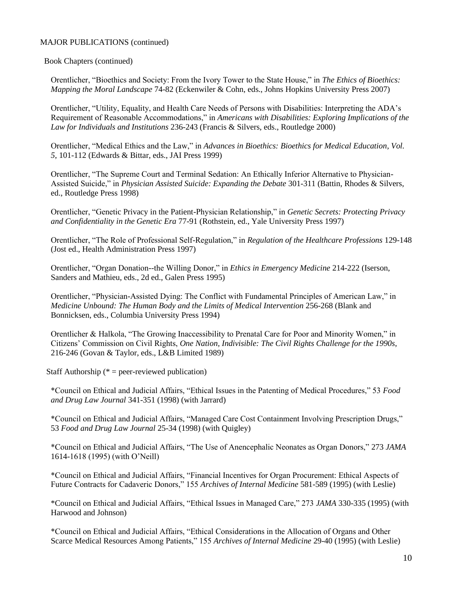Book Chapters (continued)

Orentlicher, "Bioethics and Society: From the Ivory Tower to the State House," in *The Ethics of Bioethics: Mapping the Moral Landscape* 74-82 (Eckenwiler & Cohn, eds., Johns Hopkins University Press 2007)

Orentlicher, "Utility, Equality, and Health Care Needs of Persons with Disabilities: Interpreting the ADA's Requirement of Reasonable Accommodations," in *Americans with Disabilities: Exploring Implications of the Law for Individuals and Institutions* 236-243 (Francis & Silvers, eds., Routledge 2000)

Orentlicher, "Medical Ethics and the Law," in *Advances in Bioethics: Bioethics for Medical Education*, *Vol. 5*, 101-112 (Edwards & Bittar, eds., JAI Press 1999)

Orentlicher, "The Supreme Court and Terminal Sedation: An Ethically Inferior Alternative to Physician-Assisted Suicide," in *Physician Assisted Suicide: Expanding the Debate* 301-311 (Battin, Rhodes & Silvers, ed., Routledge Press 1998)

Orentlicher, "Genetic Privacy in the Patient-Physician Relationship," in *Genetic Secrets: Protecting Privacy and Confidentiality in the Genetic Era* 77-91 (Rothstein, ed., Yale University Press 1997)

Orentlicher, "The Role of Professional Self-Regulation," in *Regulation of the Healthcare Professions* 129-148 (Jost ed., Health Administration Press 1997)

Orentlicher, "Organ Donation--the Willing Donor," in *Ethics in Emergency Medicine* 214-222 (Iserson, Sanders and Mathieu, eds., 2d ed., Galen Press 1995)

Orentlicher, "Physician-Assisted Dying: The Conflict with Fundamental Principles of American Law," in *Medicine Unbound: The Human Body and the Limits of Medical Intervention* 256-268 (Blank and Bonnicksen, eds., Columbia University Press 1994)

Orentlicher & Halkola, "The Growing Inaccessibility to Prenatal Care for Poor and Minority Women," in Citizens' Commission on Civil Rights, *One Nation, Indivisible: The Civil Rights Challenge for the 1990s*, 216-246 (Govan & Taylor, eds., L&B Limited 1989)

Staff Authorship ( $* =$  peer-reviewed publication)

\*Council on Ethical and Judicial Affairs, "Ethical Issues in the Patenting of Medical Procedures," 53 *Food and Drug Law Journal* 341-351 (1998) (with Jarrard)

\*Council on Ethical and Judicial Affairs, "Managed Care Cost Containment Involving Prescription Drugs," 53 *Food and Drug Law Journal* 25-34 (1998) (with Quigley)

\*Council on Ethical and Judicial Affairs, "The Use of Anencephalic Neonates as Organ Donors," 273 *JAMA* 1614-1618 (1995) (with O'Neill)

\*Council on Ethical and Judicial Affairs, "Financial Incentives for Organ Procurement: Ethical Aspects of Future Contracts for Cadaveric Donors," 155 *Archives of Internal Medicine* 581-589 (1995) (with Leslie)

\*Council on Ethical and Judicial Affairs, "Ethical Issues in Managed Care," 273 *JAMA* 330-335 (1995) (with Harwood and Johnson)

\*Council on Ethical and Judicial Affairs, "Ethical Considerations in the Allocation of Organs and Other Scarce Medical Resources Among Patients," 155 *Archives of Internal Medicine* 29-40 (1995) (with Leslie)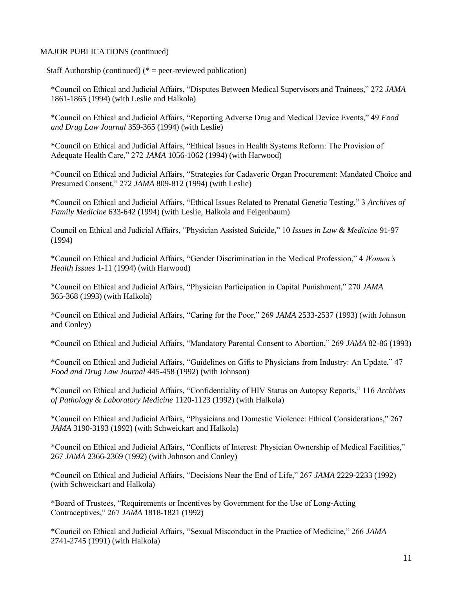Staff Authorship (continued)  $(* =$  peer-reviewed publication)

\*Council on Ethical and Judicial Affairs, "Disputes Between Medical Supervisors and Trainees," 272 *JAMA* 1861-1865 (1994) (with Leslie and Halkola)

\*Council on Ethical and Judicial Affairs, "Reporting Adverse Drug and Medical Device Events," 49 *Food and Drug Law Journal* 359-365 (1994) (with Leslie)

\*Council on Ethical and Judicial Affairs, "Ethical Issues in Health Systems Reform: The Provision of Adequate Health Care," 272 *JAMA* 1056-1062 (1994) (with Harwood)

\*Council on Ethical and Judicial Affairs, "Strategies for Cadaveric Organ Procurement: Mandated Choice and Presumed Consent," 272 *JAMA* 809-812 (1994) (with Leslie)

\*Council on Ethical and Judicial Affairs, "Ethical Issues Related to Prenatal Genetic Testing," 3 *Archives of Family Medicine* 633-642 (1994) (with Leslie, Halkola and Feigenbaum)

Council on Ethical and Judicial Affairs, "Physician Assisted Suicide," 10 *Issues in Law & Medicine* 91-97 (1994)

\*Council on Ethical and Judicial Affairs, "Gender Discrimination in the Medical Profession," 4 *Women's Health Issues* 1-11 (1994) (with Harwood)

\*Council on Ethical and Judicial Affairs, "Physician Participation in Capital Punishment," 270 *JAMA* 365-368 (1993) (with Halkola)

\*Council on Ethical and Judicial Affairs, "Caring for the Poor," 269 *JAMA* 2533-2537 (1993) (with Johnson and Conley)

\*Council on Ethical and Judicial Affairs, "Mandatory Parental Consent to Abortion," 269 *JAMA* 82-86 (1993)

\*Council on Ethical and Judicial Affairs, "Guidelines on Gifts to Physicians from Industry: An Update," 47 *Food and Drug Law Journal* 445-458 (1992) (with Johnson)

\*Council on Ethical and Judicial Affairs, "Confidentiality of HIV Status on Autopsy Reports," 116 *Archives of Pathology & Laboratory Medicine* 1120-1123 (1992) (with Halkola)

\*Council on Ethical and Judicial Affairs, "Physicians and Domestic Violence: Ethical Considerations," 267 *JAMA* 3190-3193 (1992) (with Schweickart and Halkola)

\*Council on Ethical and Judicial Affairs, "Conflicts of Interest: Physician Ownership of Medical Facilities," 267 *JAMA* 2366-2369 (1992) (with Johnson and Conley)

\*Council on Ethical and Judicial Affairs, "Decisions Near the End of Life," 267 *JAMA* 2229-2233 (1992) (with Schweickart and Halkola)

\*Board of Trustees, "Requirements or Incentives by Government for the Use of Long-Acting Contraceptives," 267 *JAMA* 1818-1821 (1992)

\*Council on Ethical and Judicial Affairs, "Sexual Misconduct in the Practice of Medicine," 266 *JAMA* 2741-2745 (1991) (with Halkola)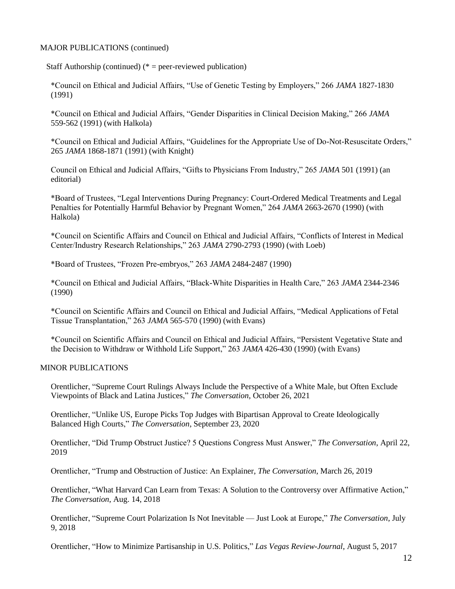Staff Authorship (continued)  $(*)$  = peer-reviewed publication)

\*Council on Ethical and Judicial Affairs, "Use of Genetic Testing by Employers," 266 *JAMA* 1827-1830 (1991)

\*Council on Ethical and Judicial Affairs, "Gender Disparities in Clinical Decision Making," 266 *JAMA* 559-562 (1991) (with Halkola)

\*Council on Ethical and Judicial Affairs, "Guidelines for the Appropriate Use of Do-Not-Resuscitate Orders," 265 *JAMA* 1868-1871 (1991) (with Knight)

Council on Ethical and Judicial Affairs, "Gifts to Physicians From Industry," 265 *JAMA* 501 (1991) (an editorial)

\*Board of Trustees, "Legal Interventions During Pregnancy: Court-Ordered Medical Treatments and Legal Penalties for Potentially Harmful Behavior by Pregnant Women," 264 *JAMA* 2663-2670 (1990) (with Halkola)

\*Council on Scientific Affairs and Council on Ethical and Judicial Affairs, "Conflicts of Interest in Medical Center/Industry Research Relationships," 263 *JAMA* 2790-2793 (1990) (with Loeb)

\*Board of Trustees, "Frozen Pre-embryos," 263 *JAMA* 2484-2487 (1990)

\*Council on Ethical and Judicial Affairs, "Black-White Disparities in Health Care," 263 *JAMA* 2344-2346 (1990)

\*Council on Scientific Affairs and Council on Ethical and Judicial Affairs, "Medical Applications of Fetal Tissue Transplantation," 263 *JAMA* 565-570 (1990) (with Evans)

\*Council on Scientific Affairs and Council on Ethical and Judicial Affairs, "Persistent Vegetative State and the Decision to Withdraw or Withhold Life Support," 263 *JAMA* 426-430 (1990) (with Evans)

#### MINOR PUBLICATIONS

Orentlicher, "Supreme Court Rulings Always Include the Perspective of a White Male, but Often Exclude Viewpoints of Black and Latina Justices," *The Conversation*, October 26, 2021

Orentlicher, "Unlike US, Europe Picks Top Judges with Bipartisan Approval to Create Ideologically Balanced High Courts," *The Conversation*, September 23, 2020

Orentlicher, "Did Trump Obstruct Justice? 5 Questions Congress Must Answer," *The Conversation*, April 22, 2019

Orentlicher, "Trump and Obstruction of Justice: An Explainer, *The Conversation*, March 26, 2019

Orentlicher, "What Harvard Can Learn from Texas: A Solution to the Controversy over Affirmative Action," *The Conversation*, Aug. 14, 2018

Orentlicher, "Supreme Court Polarization Is Not Inevitable — Just Look at Europe," *The Conversation*, July 9, 2018

Orentlicher, "How to Minimize Partisanship in U.S. Politics," *Las Vegas Review-Journal*, August 5, 2017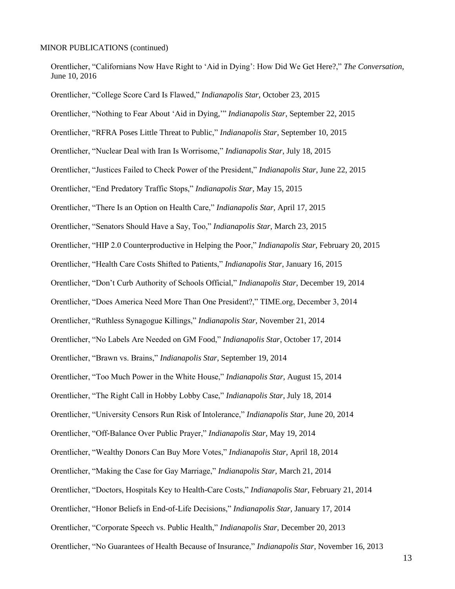Orentlicher, "Californians Now Have Right to 'Aid in Dying': How Did We Get Here?," *The Conversation*, June 10, 2016

Orentlicher, "College Score Card Is Flawed," *Indianapolis Star*, October 23, 2015 Orentlicher, "Nothing to Fear About 'Aid in Dying,'" *Indianapolis Star*, September 22, 2015 Orentlicher, "RFRA Poses Little Threat to Public," *Indianapolis Star*, September 10, 2015 Orentlicher, "Nuclear Deal with Iran Is Worrisome," *Indianapolis Star*, July 18, 2015 Orentlicher, "Justices Failed to Check Power of the President," *Indianapolis Star*, June 22, 2015 Orentlicher, "End Predatory Traffic Stops," *Indianapolis Star*, May 15, 2015 Orentlicher, "There Is an Option on Health Care," *Indianapolis Star*, April 17, 2015 Orentlicher, "Senators Should Have a Say, Too," *Indianapolis Star*, March 23, 2015 Orentlicher, "HIP 2.0 Counterproductive in Helping the Poor," *Indianapolis Star*, February 20, 2015 Orentlicher, "Health Care Costs Shifted to Patients," *Indianapolis Star*, January 16, 2015 Orentlicher, "Don't Curb Authority of Schools Official," *Indianapolis Star*, December 19, 2014 Orentlicher, "Does America Need More Than One President?," TIME.org, December 3, 2014 Orentlicher, "Ruthless Synagogue Killings," *Indianapolis Star*, November 21, 2014 Orentlicher, "No Labels Are Needed on GM Food," *Indianapolis Star*, October 17, 2014 Orentlicher, "Brawn vs. Brains," *Indianapolis Star*, September 19, 2014 Orentlicher, "Too Much Power in the White House," *Indianapolis Star*, August 15, 2014 Orentlicher, "The Right Call in Hobby Lobby Case," *Indianapolis Star*, July 18, 2014 Orentlicher, "University Censors Run Risk of Intolerance," *Indianapolis Star*, June 20, 2014 Orentlicher, "Off-Balance Over Public Prayer," *Indianapolis Star*, May 19, 2014 Orentlicher, "Wealthy Donors Can Buy More Votes," *Indianapolis Star*, April 18, 2014 Orentlicher, "Making the Case for Gay Marriage," *Indianapolis Star*, March 21, 2014 Orentlicher, "Doctors, Hospitals Key to Health-Care Costs," *Indianapolis Star*, February 21, 2014 Orentlicher, "Honor Beliefs in End-of-Life Decisions," *Indianapolis Star*, January 17, 2014 Orentlicher, "Corporate Speech vs. Public Health," *Indianapolis Star*, December 20, 2013 Orentlicher, "No Guarantees of Health Because of Insurance," *Indianapolis Star*, November 16, 2013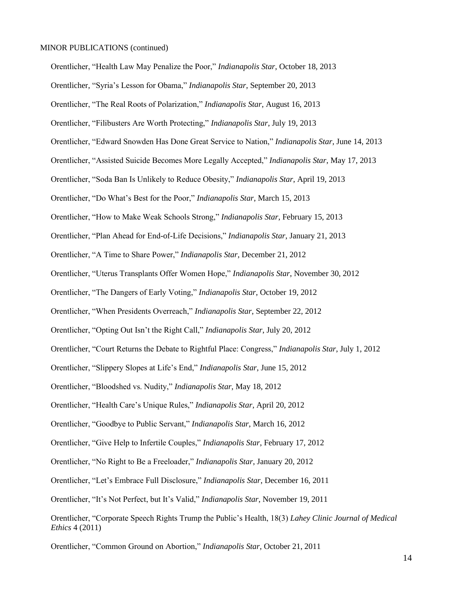Orentlicher, "Health Law May Penalize the Poor," *Indianapolis Star*, October 18, 2013 Orentlicher, "Syria's Lesson for Obama," *Indianapolis Star*, September 20, 2013 Orentlicher, "The Real Roots of Polarization," *Indianapolis Star*, August 16, 2013 Orentlicher, "Filibusters Are Worth Protecting," *Indianapolis Star*, July 19, 2013 Orentlicher, "Edward Snowden Has Done Great Service to Nation," *Indianapolis Star*, June 14, 2013 Orentlicher, "Assisted Suicide Becomes More Legally Accepted," *Indianapolis Star*, May 17, 2013 Orentlicher, "Soda Ban Is Unlikely to Reduce Obesity," *Indianapolis Star*, April 19, 2013 Orentlicher, "Do What's Best for the Poor," *Indianapolis Star*, March 15, 2013 Orentlicher, "How to Make Weak Schools Strong," *Indianapolis Star*, February 15, 2013 Orentlicher, "Plan Ahead for End-of-Life Decisions," *Indianapolis Star*, January 21, 2013 Orentlicher, "A Time to Share Power," *Indianapolis Star*, December 21, 2012 Orentlicher, "Uterus Transplants Offer Women Hope," *Indianapolis Star*, November 30, 2012 Orentlicher, "The Dangers of Early Voting," *Indianapolis Star*, October 19, 2012 Orentlicher, "When Presidents Overreach," *Indianapolis Star*, September 22, 2012 Orentlicher, "Opting Out Isn't the Right Call," *Indianapolis Star*, July 20, 2012 Orentlicher, "Court Returns the Debate to Rightful Place: Congress," *Indianapolis Star*, July 1, 2012 Orentlicher, "Slippery Slopes at Life's End," *Indianapolis Star*, June 15, 2012 Orentlicher, "Bloodshed vs. Nudity," *Indianapolis Star*, May 18, 2012 Orentlicher, "Health Care's Unique Rules," *Indianapolis Star*, April 20, 2012 Orentlicher, "Goodbye to Public Servant," *Indianapolis Star*, March 16, 2012 Orentlicher, "Give Help to Infertile Couples," *Indianapolis Star*, February 17, 2012 Orentlicher, "No Right to Be a Freeloader," *Indianapolis Star*, January 20, 2012 Orentlicher, "Let's Embrace Full Disclosure," *Indianapolis Star*, December 16, 2011 Orentlicher, "It's Not Perfect, but It's Valid," *Indianapolis Star*, November 19, 2011 Orentlicher, "Corporate Speech Rights Trump the Public's Health, 18(3) *Lahey Clinic Journal of Medical Ethics* 4 (2011)

Orentlicher, "Common Ground on Abortion," *Indianapolis Star*, October 21, 2011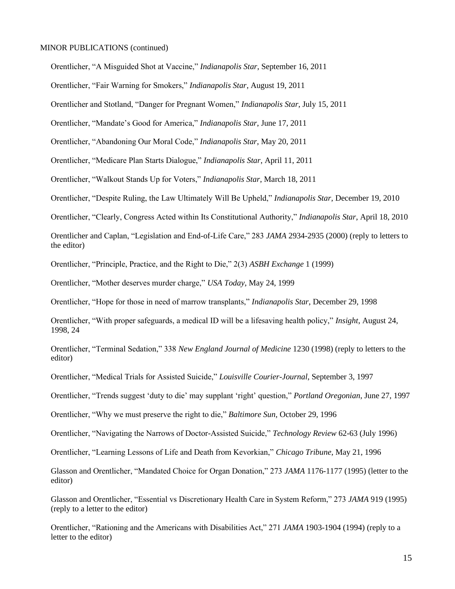Orentlicher, "A Misguided Shot at Vaccine," *Indianapolis Star*, September 16, 2011

Orentlicher, "Fair Warning for Smokers," *Indianapolis Star*, August 19, 2011

Orentlicher and Stotland, "Danger for Pregnant Women," *Indianapolis Star*, July 15, 2011

Orentlicher, "Mandate's Good for America," *Indianapolis Star*, June 17, 2011

Orentlicher, "Abandoning Our Moral Code," *Indianapolis Star*, May 20, 2011

Orentlicher, "Medicare Plan Starts Dialogue," *Indianapolis Star*, April 11, 2011

Orentlicher, "Walkout Stands Up for Voters," *Indianapolis Star*, March 18, 2011

Orentlicher, "Despite Ruling, the Law Ultimately Will Be Upheld," *Indianapolis Star*, December 19, 2010

Orentlicher, "Clearly, Congress Acted within Its Constitutional Authority," *Indianapolis Star*, April 18, 2010

Orentlicher and Caplan, "Legislation and End-of-Life Care," 283 *JAMA* 2934-2935 (2000) (reply to letters to the editor)

Orentlicher, "Principle, Practice, and the Right to Die," 2(3) *ASBH Exchange* 1 (1999)

Orentlicher, "Mother deserves murder charge," *USA Today*, May 24, 1999

Orentlicher, "Hope for those in need of marrow transplants," *Indianapolis Star*, December 29, 1998

Orentlicher, "With proper safeguards, a medical ID will be a lifesaving health policy," *Insight*, August 24, 1998, 24

Orentlicher, "Terminal Sedation," 338 *New England Journal of Medicine* 1230 (1998) (reply to letters to the editor)

Orentlicher, "Medical Trials for Assisted Suicide," *Louisville Courier-Journal*, September 3, 1997

Orentlicher, "Trends suggest 'duty to die' may supplant 'right' question," *Portland Oregonian*, June 27, 1997

Orentlicher, "Why we must preserve the right to die," *Baltimore Sun*, October 29, 1996

Orentlicher, "Navigating the Narrows of Doctor-Assisted Suicide," *Technology Review* 62-63 (July 1996)

Orentlicher, "Learning Lessons of Life and Death from Kevorkian," *Chicago Tribune*, May 21, 1996

Glasson and Orentlicher, "Mandated Choice for Organ Donation," 273 *JAMA* 1176-1177 (1995) (letter to the editor)

Glasson and Orentlicher, "Essential vs Discretionary Health Care in System Reform," 273 *JAMA* 919 (1995) (reply to a letter to the editor)

Orentlicher, "Rationing and the Americans with Disabilities Act," 271 *JAMA* 1903-1904 (1994) (reply to a letter to the editor)